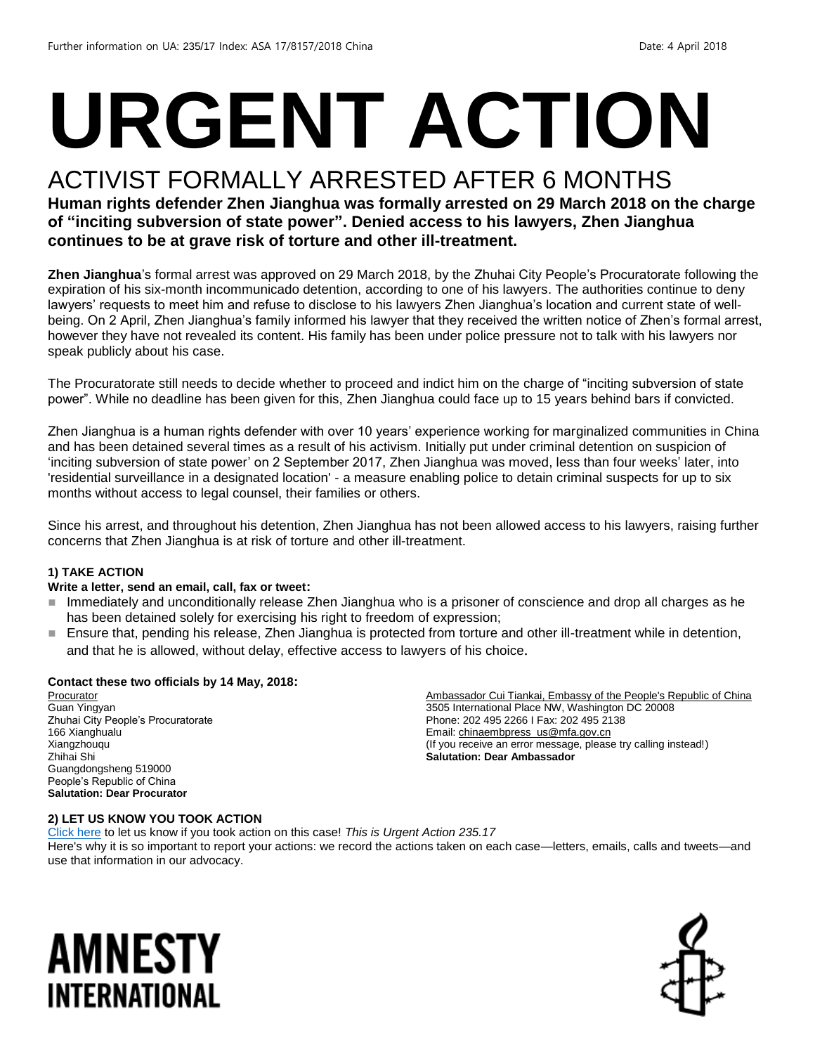# **URGENT ACTION**

### ACTIVIST FORMALLY ARRESTED AFTER 6 MONTHS

#### **Human rights defender Zhen Jianghua was formally arrested on 29 March 2018 on the charge of "inciting subversion of state power". Denied access to his lawyers, Zhen Jianghua continues to be at grave risk of torture and other ill-treatment.**

**Zhen Jianghua**'s formal arrest was approved on 29 March 2018, by the Zhuhai City People's Procuratorate following the expiration of his six-month incommunicado detention, according to one of his lawyers. The authorities continue to deny lawyers' requests to meet him and refuse to disclose to his lawyers Zhen Jianghua's location and current state of wellbeing. On 2 April, Zhen Jianghua's family informed his lawyer that they received the written notice of Zhen's formal arrest, however they have not revealed its content. His family has been under police pressure not to talk with his lawyers nor speak publicly about his case.

The Procuratorate still needs to decide whether to proceed and indict him on the charge of "inciting subversion of state power". While no deadline has been given for this, Zhen Jianghua could face up to 15 years behind bars if convicted.

Zhen Jianghua is a human rights defender with over 10 years' experience working for marginalized communities in China and has been detained several times as a result of his activism. Initially put under criminal detention on suspicion of 'inciting subversion of state power' on 2 September 2017, Zhen Jianghua was moved, less than four weeks' later, into 'residential surveillance in a designated location' - a measure enabling police to detain criminal suspects for up to six months without access to legal counsel, their families or others.

Since his arrest, and throughout his detention, Zhen Jianghua has not been allowed access to his lawyers, raising further concerns that Zhen Jianghua is at risk of torture and other ill-treatment.

#### **1) TAKE ACTION**

#### **Write a letter, send an email, call, fax or tweet:**

- Immediately and unconditionally release Zhen Jianghua who is a prisoner of conscience and drop all charges as he has been detained solely for exercising his right to freedom of expression;
- Ensure that, pending his release, Zhen Jianghua is protected from torture and other ill-treatment while in detention, and that he is allowed, without delay, effective access to lawyers of his choice.

#### **Contact these two officials by 14 May, 2018:**

**Procurator** Guan Yingyan Zhuhai City People's Procuratorate 166 Xianghualu Xiangzhouqu Zhihai Shi Guangdongsheng 519000 People's Republic of China **Salutation: Dear Procurator**

Ambassador Cui Tiankai, Embassy of the People's Republic of China 3505 International Place NW, Washington DC 20008 Phone: 202 495 2266 I Fax: 202 495 2138 Email[: chinaembpress\\_us@mfa.gov.cn](mailto:chinaembpress_us@mfa.gov.cn) (If you receive an error message, please try calling instead!) **Salutation: Dear Ambassador**

#### **2) LET US KNOW YOU TOOK ACTION**

[Click here](https://www.amnestyusa.org/report-urgent-actions/) to let us know if you took action on this case! *This is Urgent Action 235.17* Here's why it is so important to report your actions: we record the actions taken on each case—letters, emails, calls and tweets—and use that information in our advocacy.

## AMNESTY INTERNATIONAL